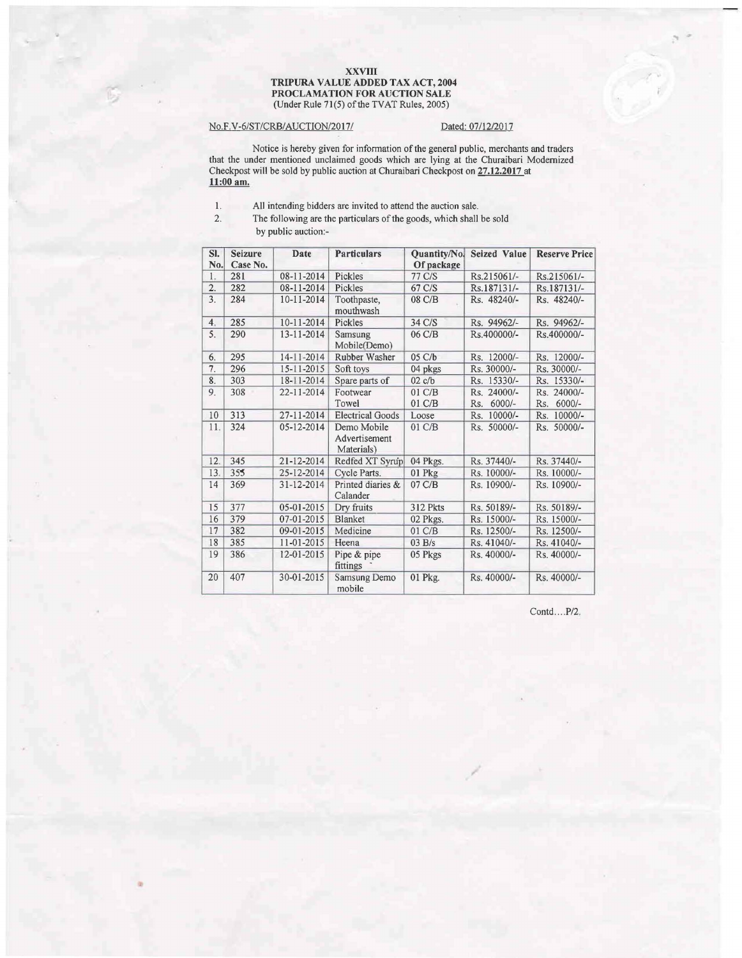## XXVIII TRIPURA VALUE ADDED TAX ACT, 2004 PROCLAMATION FOR AUCTION SALE (Under Rule 71(5) of the TVAT Rules, 2005)

## No.F.V-6/ST/CRB/AUCTION/2017/ Dated: 07/12/2017

Notice is hereby given for information of the general public, merchants and traders that the under mentioned unclaimed goods which are lying at the Churaibari Modernized Checkpost will be sold by public auction at Churaibari Checkpost on 27.12.2017 at 11:00 am.

- 1. All intending bidders are invited to attend the auction sale.<br>2. The following are the particulars of the goods, which shall
	- The following are the particulars of the goods, which shall be sold by public auction:-

| SI.<br>No.       | <b>Seizure</b><br>Case No. | Date             | <b>Particulars</b>                         | Quantity/No.<br>Of package | <b>Seized Value</b>            | <b>Reserve Price</b>      |
|------------------|----------------------------|------------------|--------------------------------------------|----------------------------|--------------------------------|---------------------------|
| 1.               | 281                        | 08-11-2014       | Pickles                                    | 77 C/S                     | Rs.215061/-                    | Rs.215061/-               |
| $\overline{2}$ . | 282                        | 08-11-2014       | Pickles                                    | 67 C/S                     | Rs.187131/-                    | Rs.187131/-               |
| 3.               | 284                        | 10-11-2014       | Toothpaste,<br>mouthwash                   | 08 C/B                     | Rs. 48240/-                    | Rs. 48240/-               |
| 4 <sup>2</sup>   | 285                        | 10-11-2014       | Pickles                                    | 34 C/S                     | Rs. 94962/-                    | Rs. 94962/-               |
| 5.               | 290                        | 13-11-2014       | Samsung<br>Mobile(Demo)                    | 06 C/B                     | Rs.400000/-                    | Rs.400000/-               |
| 6.               | 295                        | $14 - 11 - 2014$ | Rubber Washer                              | 05 C/b                     | Rs. 12000/-                    | Rs. 12000/-               |
| 7.               | 296                        | 15-11-2015       | Soft toys                                  | 04 pkgs                    | Rs. 30000/-                    | Rs. 30000/-               |
| 8.               | 303                        | 18-11-2014       | Spare parts of                             | 02c/b                      | Rs. 15330/-                    | Rs. 15330/-               |
| 9.               | 308                        | 22-11-2014       | Footwear<br>Towel                          | 01 C/B<br>01 C/B           | Rs. 24000/-<br>$6000/-$<br>Rs. | Rs. 24000/-<br>Rs. 6000/- |
| 10               | 313                        | 27-11-2014       | <b>Electrical Goods</b>                    | Loose                      | Rs. 10000/-                    | Rs. 10000/-               |
| 11.              | 324                        | 05-12-2014       | Demo Mobile<br>Advertisement<br>Materials) | 01 C/B                     | Rs. 50000/-                    | Rs. 50000/-               |
| 12.              | 345                        | 21-12-2014       | Redfed XT Syrup                            | 04 Pkgs.                   | Rs. 37440/-                    | Rs. 37440/-               |
| 13.              | 355                        | 25-12-2014       | Cycle Parts.                               | 01 Pkg                     | Rs. 10000/-                    | Rs. 10000/-               |
| 14               | 369                        | 31-12-2014       | Printed diaries &<br>Calander              | $07 \text{ C/B}$           | Rs. 10900/-                    | Rs. 10900/-               |
| 15               | 377                        | 05-01-2015       | Dry fruits                                 | <b>312 Pkts</b>            | Rs. 50189/-                    | Rs. 50189/-               |
| 16               | 379                        | 07-01-2015       | Blanket                                    | 02 Pkgs.                   | Rs. 15000/-                    | Rs. 15000/-               |
| 17               | 382                        | 09-01-2015       | Medicine                                   | 01 C/B                     | Rs. 12500/-                    | Rs. 12500/-               |
| 18               | 385                        | 11-01-2015       | Heena                                      | 03 B/s                     | Rs. 41040/-                    | Rs. 41040/-               |
| 19               | 386                        | 12-01-2015       | Pipe & pipe<br>fittings                    | 05 Pkgs                    | Rs. 40000/-                    | Rs. 40000/-               |
| 20               | 407                        | 30-01-2015       | Samsung Demo<br>mobile                     | 01 Pkg.                    | Rs. 40000/-                    | Rs. 40000/-               |

Contd....P/2.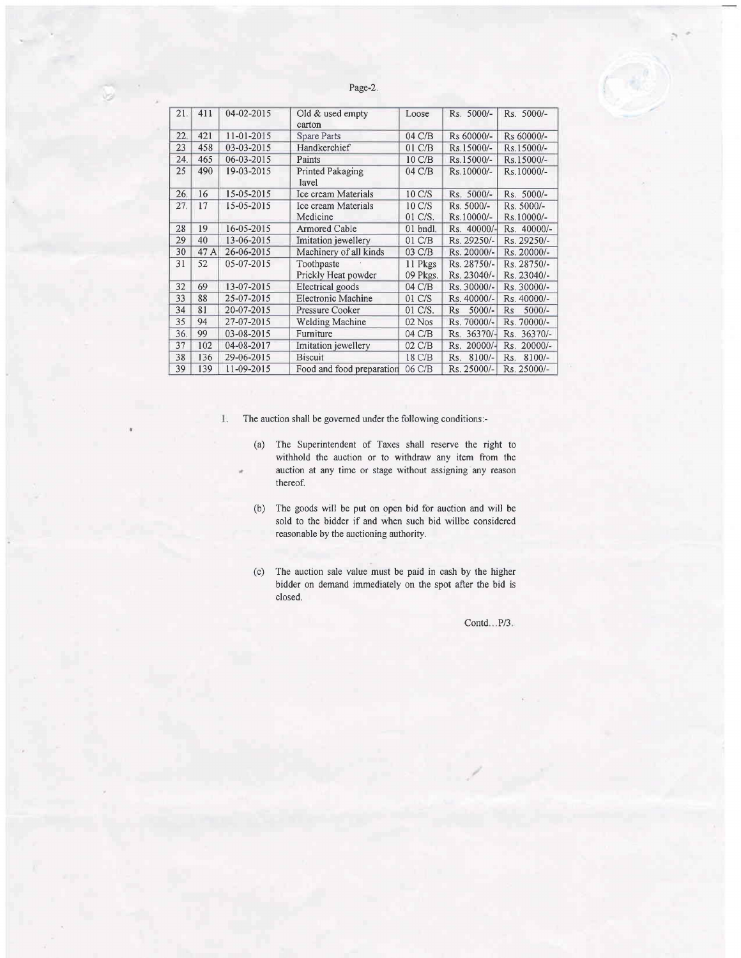Page-2.

| 21. | 411  | 04-02-2015 | Old & used empty<br>carton | Loose             | Rs. 5000/-       | Rs. 5000/-            |
|-----|------|------------|----------------------------|-------------------|------------------|-----------------------|
| 22. | 421  | 11-01-2015 | <b>Spare Parts</b>         | 04 C/B            | Rs 60000/-       | Rs 60000/-            |
| 23  | 458  | 03-03-2015 | Handkerchief               | $01 \text{ } C/B$ | Rs.15000/-       | Rs.15000/-            |
| 24. | 465  | 06-03-2015 | Paints                     | 10 C/B            | Rs.15000/-       | Rs.15000/-            |
| 25  | 490  | 19-03-2015 | Printed Pakaging<br>lavel  | 04 C/B            | Rs.10000/-       | Rs.10000/-            |
| 26. | 16   | 15-05-2015 | Ice cream Materials        | 10 C/S            | Rs. 5000/-       | Rs. 5000/-            |
| 27. | 17   | 15-05-2015 | Ice cream Materials        | 10 C/S            | Rs. 5000/-       | Rs. 5000/-            |
|     |      |            | Medicine                   | 01 C/S.           | Rs.10000/-       | Rs.10000/-            |
| 28  | 19   | 16-05-2015 | Armored Cable              | 01 bndl.          | Rs. 40000/-      | Rs. 40000/-           |
| 29  | 40   | 13-06-2015 | Imitation jewellery        | 01 C/B            | Rs. 29250/-      | Rs. 29250/-           |
| 30  | 47 A | 26-06-2015 | Machinery of all kinds     | 03 C/B            | Rs. 20000/-      | Rs. 20000/-           |
| 31  | 52   | 05-07-2015 | Toothpaste                 | 11 Pkgs           | Rs. 28750/-      | Rs. 28750/-           |
|     |      |            | Prickly Heat powder        | 09 Pkgs.          | Rs. 23040/-      | Rs. 23040/-           |
| 32  | 69   | 13-07-2015 | Electrical goods           | 04 C/B            | Rs. 30000/-      | Rs. 30000/-           |
| 33  | 88   | 25-07-2015 | Electronic Machine         | 01 C/S            | Rs. 40000/-      | Rs. 40000/-           |
| 34  | 81   | 20-07-2015 | Pressure Cooker            | 01 C/S.           | $5000/-$<br>Rs   | $5000/-$<br><b>Rs</b> |
| 35  | 94   | 27-07-2015 | <b>Welding Machine</b>     | 02 Nos            | Rs. 70000/-      | Rs. 70000/-           |
| 36. | 99   | 03-08-2015 | Furniture                  | 04 C/B            | Rs. 36370/-      | Rs. 36370/-           |
| 37  | 102  | 04-08-2017 | Imitation jewellery        | 02 C/B            | $20000/-$<br>Rs. | Rs. 20000/-           |
| 38  | 136  | 29-06-2015 | <b>Biscuit</b>             | $18 \text{ C/B}$  | $8100/-$<br>Rs.  | $8100/-$<br>Rs.       |
| 39  | 139  | 11-09-2015 | Food and food preparation  | 06 C/B            | Rs. 25000/-      | Rs. 25000/-           |

I, The auction shall be governed under the following conditions:-

- (a) The Superintendent of Taxes shall reserve the right to withhold the auction or to withdraw any item from the auction at any time or stage without assigning any reason thereof.
- (b) The goods will be put on open bid for auction and will be sold to the bidder if and when such bid willbe considered reasonable by the auctioning authority.
- (c) The auction sale value must be paid in cash by the higher bidder on demand immediately on the spot after the bid is closed.

Contd...P/3.

... .